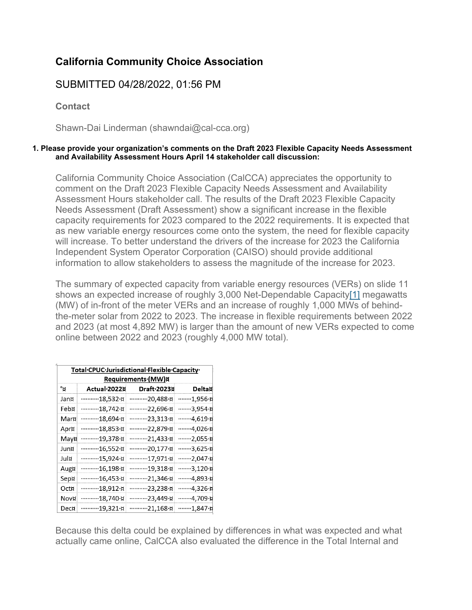## **California Community Choice Association**

## SUBMITTED 04/28/2022, 01:56 PM

**Contact**

Shawn-Dai Linderman (shawndai@cal-cca.org)

## **1. Please provide your organization's comments on the Draft 2023 Flexible Capacity Needs Assessment and Availability Assessment Hours April 14 stakeholder call discussion:**

California Community Choice Association (CalCCA) appreciates the opportunity to comment on the Draft 2023 Flexible Capacity Needs Assessment and Availability Assessment Hours stakeholder call. The results of the Draft 2023 Flexible Capacity Needs Assessment (Draft Assessment) show a significant increase in the flexible capacity requirements for 2023 compared to the 2022 requirements. It is expected that as new variable energy resources come onto the system, the need for flexible capacity will increase. To better understand the drivers of the increase for 2023 the California Independent System Operator Corporation (CAISO) should provide additional information to allow stakeholders to assess the magnitude of the increase for 2023.

The summary of expected capacity from variable energy resources (VERs) on slide 11 shows an expected increase of roughly 3,000 Net-Dependable Capacit[y\[1\]](https://stakeholdercenter.caiso.com/Comments/AllComments/9B5DA24E-252F-46C4-B15E-BE4478491C8C#_E07ADC47-3EE4-4668-B103-3A348A1B09D0ftn1) megawatts (MW) of in-front of the meter VERs and an increase of roughly 1,000 MWs of behindthe-meter solar from 2022 to 2023. The increase in flexible requirements between 2022 and 2023 (at most 4,892 MW) is larger than the amount of new VERs expected to come online between 2022 and 2023 (roughly 4,000 MW total).

| Total CPUC Jurisdictional Flexible Capacity<br><b>Requirements·(MW)¤</b> |              |              |                 |
|--------------------------------------------------------------------------|--------------|--------------|-----------------|
| °¤                                                                       | Actual 2022¤ | Draft·2023¤  | Delta¤          |
| Jan¤                                                                     | 18,532.¤     | 20,488.¤     | ········1,956·¤ |
| Feb¤                                                                     | 18,742.¤     | 22,696·¤     | 3,954.¤         |
| Mar¤                                                                     | 18,694.¤     | 23,313.¤     | 4,619.¤         |
| Apr¤                                                                     | 18,853.¤     | 22,879·¤     | 4,026-¤         |
| May¤                                                                     | 19,378.¤     | 21,433.¤     | 2,055.¤         |
| Jun¤                                                                     | 16,552.¤     | 20,177.¤     | 3,625.p         |
| Jul¤                                                                     | 15,924·¤     | …………17,971·¤ | 2,047.¤         |
| Aug¤                                                                     | 16,198·¤     | 19,318·¤     | 3,120.¤         |
| Sep¤                                                                     | 16,453.¤     | 21,346.¤     | 4,893.¤         |
| Oct¤                                                                     | 18,912·¤     | 23,238·¤     | 4,326-¤         |
| Nov¤                                                                     | 18,740.¤     | 23,449·¤     | 4,709·¤         |
| Dec¤                                                                     | …………19,321·¤ | …………21,168·¤ | 1,847.¤         |

Because this delta could be explained by differences in what was expected and what actually came online, CalCCA also evaluated the difference in the Total Internal and